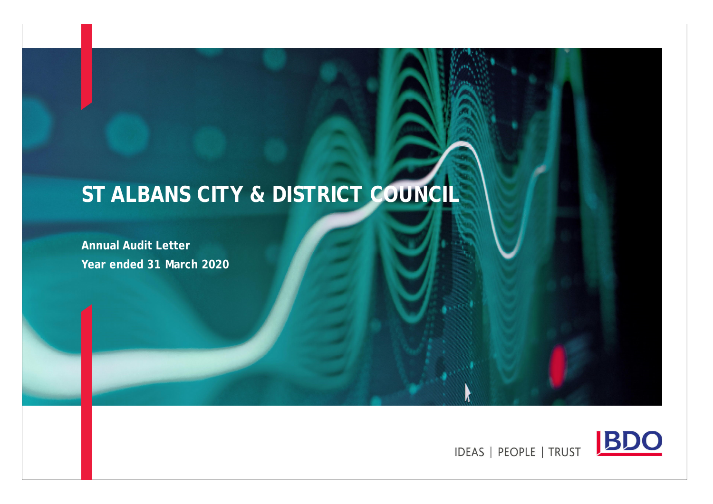# **ST ALBANS CITY & DISTRICT COUNCIL**

**Annual Audit Letter Year ended 31 March 2020**



**IDEAS | PEOPLE | TRUST**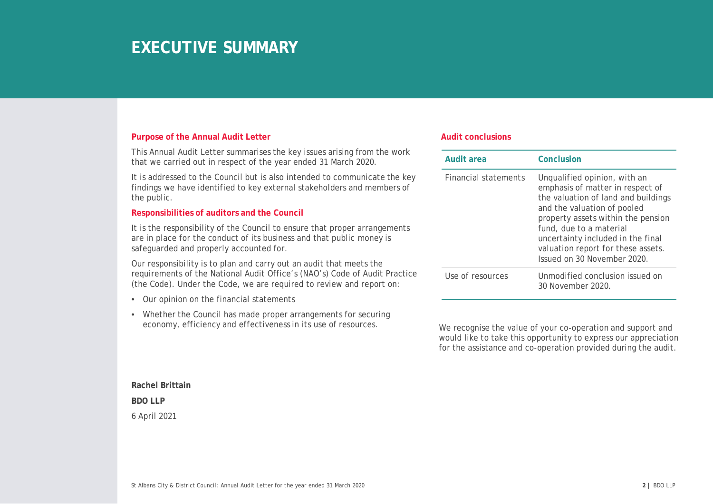## **EXECUTIVE SUMMARY**

#### **Purpose of the Annual Audit Letter**

This Annual Audit Letter summarises the key issues arising from the work that we carried out in respect of the year ended 31 March 2020.

It is addressed to the Council but is also intended to communicate the key findings we have identified to key external stakeholders and members of the public.

#### **Responsibilities of auditors and the Council**

It is the responsibility of the Council to ensure that proper arrangements are in place for the conduct of its business and that public money is safeguarded and properly accounted for.

Our responsibility is to plan and carry out an audit that meets the requirements of the National Audit Office's (NAO's) Code of Audit Practice (the Code). Under the Code, we are required to review and report on:

- Our opinion on the financial statements
- Whether the Council has made proper arrangements for securing economy, efficiency and effectiveness in its use of resources.

#### **Audit conclusions**

| Audit area                  | Conclusion                                                                                                                                                                                                                                                                                                        |
|-----------------------------|-------------------------------------------------------------------------------------------------------------------------------------------------------------------------------------------------------------------------------------------------------------------------------------------------------------------|
| <b>Financial statements</b> | Unqualified opinion, with an<br>emphasis of matter in respect of<br>the valuation of land and buildings<br>and the valuation of pooled<br>property assets within the pension<br>fund, due to a material<br>uncertainty included in the final<br>valuation report for these assets.<br>Issued on 30 November 2020. |
| Use of resources            | Unmodified conclusion issued on<br>30 November 2020.                                                                                                                                                                                                                                                              |

We recognise the value of your co-operation and support and would like to take this opportunity to express our appreciation for the assistance and co-operation provided during the audit.

**Rachel Brittain BDO LLP** 6 April 2021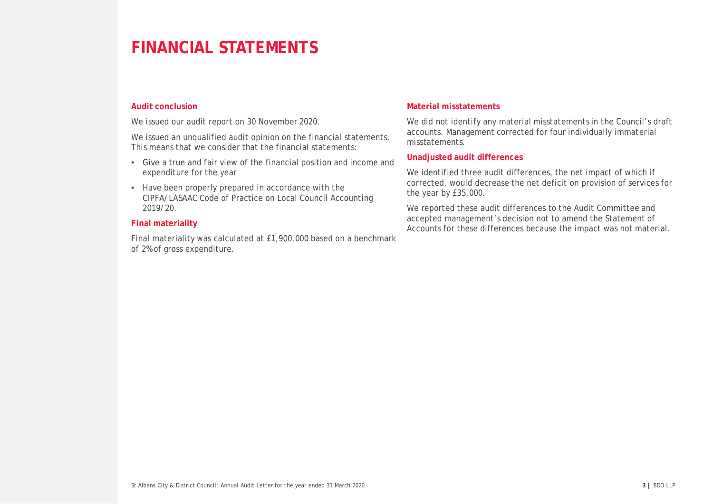#### **Audit conclusion**

We issued our audit report on 30 November 2020.

We issued an unqualified audit opinion on the financial statements. This means that we consider that the financial statements:

- Give a true and fair view of the financial position and income and expenditure for the year
- Have been properly prepared in accordance with the CIPFA/LASAAC Code of Practice on Local Council Accounting 2019/20.

#### **Final materiality**

Final materiality was calculated at £1,900,000 based on a benchmark of 2% of gross expenditure.

#### **Material misstatements**

We did not identify any material misstatements in the Council's draft accounts. Management corrected for four individually immaterial misstatements.

#### **Unadjusted audit differences**

We identified three audit differences, the net impact of which if corrected, would decrease the net deficit on provision of services for the year by £35,000.

We reported these audit differences to the Audit Committee and accepted management's decision not to amend the Statement of Accounts for these differences because the impact was not material.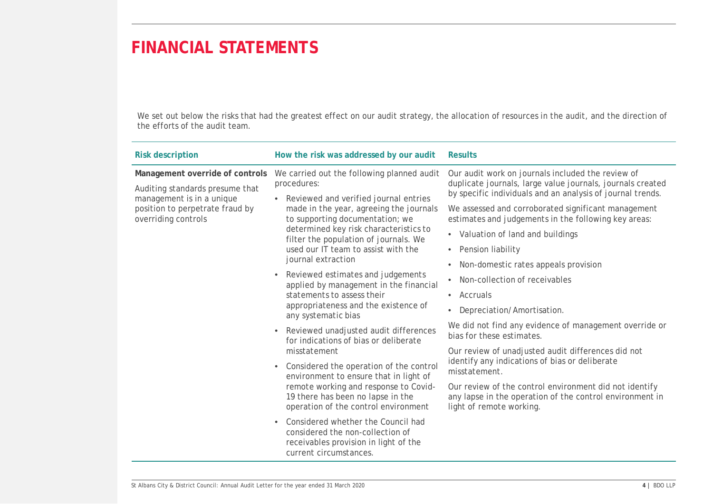We set out below the risks that had the greatest effect on our audit strategy, the allocation of resources in the audit, and the direction of the efforts of the audit team.

| <b>Risk description</b>                                                                         | How the risk was addressed by our audit                                                                                                                                               | <b>Results</b>                                                                                                                                                                |
|-------------------------------------------------------------------------------------------------|---------------------------------------------------------------------------------------------------------------------------------------------------------------------------------------|-------------------------------------------------------------------------------------------------------------------------------------------------------------------------------|
| Management override of controls<br>Auditing standards presume that<br>management is in a unique | We carried out the following planned audit<br>procedures:<br>• Reviewed and verified journal entries                                                                                  | Our audit work on journals included the review of<br>duplicate journals, large value journals, journals created<br>by specific individuals and an analysis of journal trends. |
| position to perpetrate fraud by<br>overriding controls                                          | made in the year, agreeing the journals<br>to supporting documentation; we                                                                                                            | We assessed and corroborated significant management<br>estimates and judgements in the following key areas:                                                                   |
|                                                                                                 | determined key risk characteristics to<br>filter the population of journals. We                                                                                                       | • Valuation of land and buildings                                                                                                                                             |
|                                                                                                 | used our IT team to assist with the                                                                                                                                                   | <b>Pension liability</b><br>$\bullet$                                                                                                                                         |
|                                                                                                 | journal extraction                                                                                                                                                                    | Non-domestic rates appeals provision<br>$\bullet$                                                                                                                             |
|                                                                                                 | Reviewed estimates and judgements<br>$\bullet$<br>applied by management in the financial<br>statements to assess their<br>appropriateness and the existence of<br>any systematic bias | • Non-collection of receivables                                                                                                                                               |
|                                                                                                 |                                                                                                                                                                                       | $\bullet$ Accruals                                                                                                                                                            |
|                                                                                                 |                                                                                                                                                                                       | Depreciation/Amortisation.<br>$\bullet$                                                                                                                                       |
|                                                                                                 | Reviewed unadjusted audit differences<br>for indications of bias or deliberate                                                                                                        | We did not find any evidence of management override or<br>bias for these estimates.                                                                                           |
|                                                                                                 | misstatement                                                                                                                                                                          | Our review of unadjusted audit differences did not<br>identify any indications of bias or deliberate<br>misstatement.                                                         |
|                                                                                                 | Considered the operation of the control<br>$\bullet$<br>environment to ensure that in light of                                                                                        |                                                                                                                                                                               |
|                                                                                                 | remote working and response to Covid-<br>19 there has been no lapse in the<br>operation of the control environment                                                                    | Our review of the control environment did not identify<br>any lapse in the operation of the control environment in<br>light of remote working.                                |
|                                                                                                 | Considered whether the Council had<br>considered the non-collection of<br>receivables provision in light of the<br>current circumstances.                                             |                                                                                                                                                                               |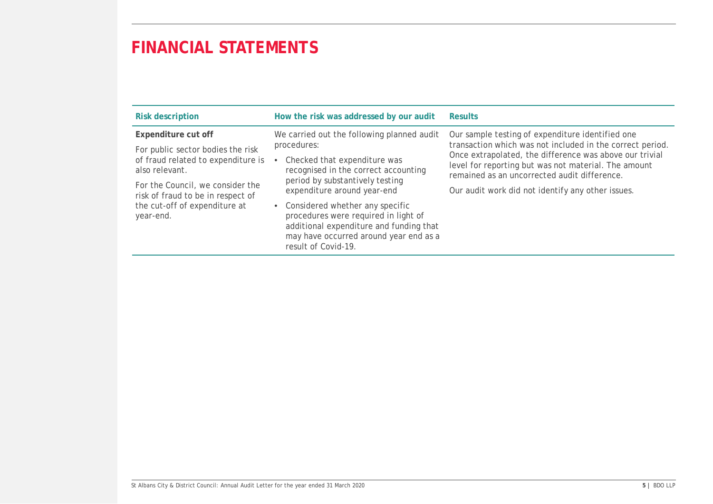| <b>Risk description</b>                                               | How the risk was addressed by our audit                                                                                                                                               | <b>Results</b>                                                                                                                                                                                                                                                                   |
|-----------------------------------------------------------------------|---------------------------------------------------------------------------------------------------------------------------------------------------------------------------------------|----------------------------------------------------------------------------------------------------------------------------------------------------------------------------------------------------------------------------------------------------------------------------------|
| Expenditure cut off                                                   | We carried out the following planned audit                                                                                                                                            | Our sample testing of expenditure identified one<br>transaction which was not included in the correct period.<br>Once extrapolated, the difference was above our trivial<br>level for reporting but was not material. The amount<br>remained as an uncorrected audit difference. |
| For public sector bodies the risk                                     | procedures:                                                                                                                                                                           |                                                                                                                                                                                                                                                                                  |
| of fraud related to expenditure is<br>also relevant.                  | Checked that expenditure was<br>recognised in the correct accounting<br>period by substantively testing<br>expenditure around year-end                                                |                                                                                                                                                                                                                                                                                  |
| For the Council, we consider the<br>risk of fraud to be in respect of |                                                                                                                                                                                       | Our audit work did not identify any other issues.                                                                                                                                                                                                                                |
| the cut-off of expenditure at<br>year-end.                            | • Considered whether any specific<br>procedures were required in light of<br>additional expenditure and funding that<br>may have occurred around year end as a<br>result of Covid-19. |                                                                                                                                                                                                                                                                                  |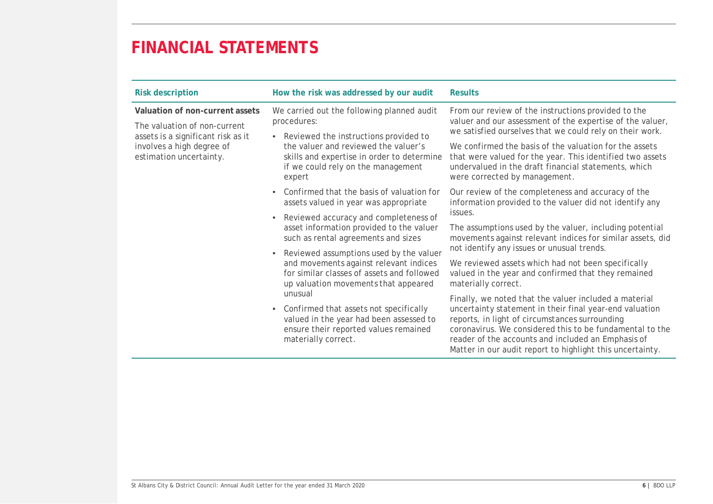| Risk description                                                                                                                                              | How the risk was addressed by our audit                                                                                                                                                                                                                                                                                                                                                                                                                                                                                                                                | Results                                                                                                                                                                                                                                                                                                                                                                                                                                                                                                                                                                                                                                                                                                                                                                                  |
|---------------------------------------------------------------------------------------------------------------------------------------------------------------|------------------------------------------------------------------------------------------------------------------------------------------------------------------------------------------------------------------------------------------------------------------------------------------------------------------------------------------------------------------------------------------------------------------------------------------------------------------------------------------------------------------------------------------------------------------------|------------------------------------------------------------------------------------------------------------------------------------------------------------------------------------------------------------------------------------------------------------------------------------------------------------------------------------------------------------------------------------------------------------------------------------------------------------------------------------------------------------------------------------------------------------------------------------------------------------------------------------------------------------------------------------------------------------------------------------------------------------------------------------------|
| Valuation of non-current assets<br>The valuation of non-current<br>assets is a significant risk as it<br>involves a high degree of<br>estimation uncertainty. | We carried out the following planned audit<br>procedures:<br>• Reviewed the instructions provided to<br>the valuer and reviewed the valuer's<br>skills and expertise in order to determine<br>if we could rely on the management<br>expert                                                                                                                                                                                                                                                                                                                             | From our review of the instructions provided to the<br>valuer and our assessment of the expertise of the valuer,<br>we satisfied ourselves that we could rely on their work.<br>We confirmed the basis of the valuation for the assets<br>that were valued for the year. This identified two assets<br>undervalued in the draft financial statements, which<br>were corrected by management.                                                                                                                                                                                                                                                                                                                                                                                             |
|                                                                                                                                                               | Confirmed that the basis of valuation for<br>assets valued in year was appropriate<br>Reviewed accuracy and completeness of<br>asset information provided to the valuer<br>such as rental agreements and sizes<br>Reviewed assumptions used by the valuer<br>and movements against relevant indices<br>for similar classes of assets and followed<br>up valuation movements that appeared<br>unusual<br>Confirmed that assets not specifically<br>$\bullet$<br>valued in the year had been assessed to<br>ensure their reported values remained<br>materially correct. | Our review of the completeness and accuracy of the<br>information provided to the valuer did not identify any<br>issues.<br>The assumptions used by the valuer, including potential<br>movements against relevant indices for similar assets, did<br>not identify any issues or unusual trends.<br>We reviewed assets which had not been specifically<br>valued in the year and confirmed that they remained<br>materially correct.<br>Finally, we noted that the valuer included a material<br>uncertainty statement in their final year-end valuation<br>reports, in light of circumstances surrounding<br>coronavirus. We considered this to be fundamental to the<br>reader of the accounts and included an Emphasis of<br>Matter in our audit report to highlight this uncertainty. |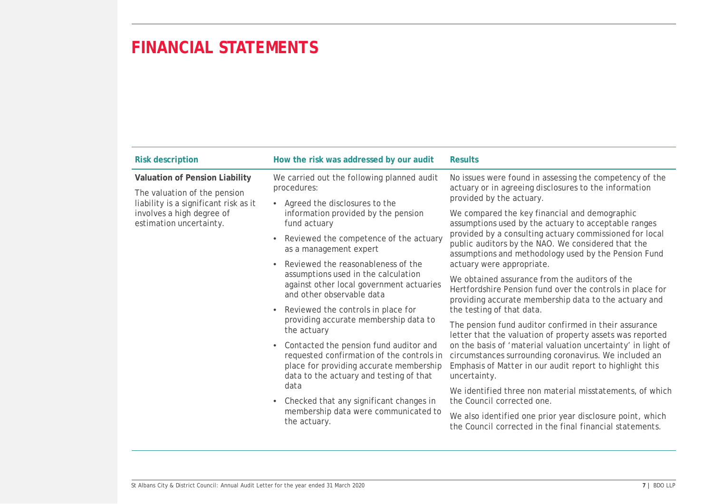| <b>Risk description</b>                                                                                 | How the risk was addressed by our audit                                                                                                                                                                                                          | <b>Results</b>                                                                                                                                                                                                                                                                 |
|---------------------------------------------------------------------------------------------------------|--------------------------------------------------------------------------------------------------------------------------------------------------------------------------------------------------------------------------------------------------|--------------------------------------------------------------------------------------------------------------------------------------------------------------------------------------------------------------------------------------------------------------------------------|
| Valuation of Pension Liability<br>The valuation of the pension<br>liability is a significant risk as it | We carried out the following planned audit<br>procedures:<br>Agreed the disclosures to the<br>$\bullet$                                                                                                                                          | No issues were found in assessing the competency of the<br>actuary or in agreeing disclosures to the information<br>provided by the actuary.                                                                                                                                   |
| involves a high degree of<br>estimation uncertainty.                                                    | information provided by the pension<br>fund actuary                                                                                                                                                                                              | We compared the key financial and demographic<br>assumptions used by the actuary to acceptable ranges<br>provided by a consulting actuary commissioned for local<br>public auditors by the NAO. We considered that the<br>assumptions and methodology used by the Pension Fund |
|                                                                                                         | Reviewed the competence of the actuary<br>as a management expert                                                                                                                                                                                 |                                                                                                                                                                                                                                                                                |
|                                                                                                         | Reviewed the reasonableness of the<br>assumptions used in the calculation<br>against other local government actuaries<br>and other observable data<br>Reviewed the controls in place for<br>providing accurate membership data to<br>the actuary | actuary were appropriate.                                                                                                                                                                                                                                                      |
|                                                                                                         |                                                                                                                                                                                                                                                  | We obtained assurance from the auditors of the<br>Hertfordshire Pension fund over the controls in place for<br>providing accurate membership data to the actuary and<br>the testing of that data.                                                                              |
|                                                                                                         |                                                                                                                                                                                                                                                  |                                                                                                                                                                                                                                                                                |
|                                                                                                         |                                                                                                                                                                                                                                                  | Contacted the pension fund auditor and<br>٠<br>requested confirmation of the controls in<br>place for providing accurate membership<br>data to the actuary and testing of that                                                                                                 |
|                                                                                                         | data<br>Checked that any significant changes in<br>$\bullet$                                                                                                                                                                                     | We identified three non material misstatements, of which<br>the Council corrected one.                                                                                                                                                                                         |
|                                                                                                         | membership data were communicated to<br>the actuary.                                                                                                                                                                                             | We also identified one prior year disclosure point, which<br>the Council corrected in the final financial statements.                                                                                                                                                          |
|                                                                                                         |                                                                                                                                                                                                                                                  |                                                                                                                                                                                                                                                                                |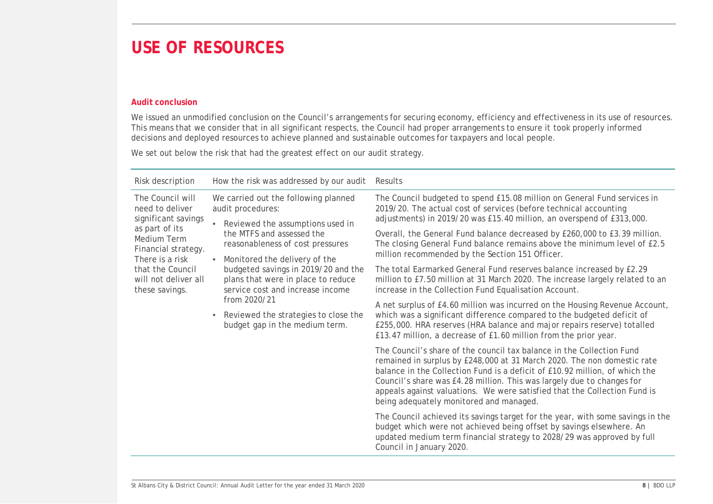### **USE OF RESOURCES**

### **Audit conclusion**

We issued an unmodified conclusion on the Council's arrangements for securing economy, efficiency and effectiveness in its use of resources. This means that we consider that in all significant respects, the Council had proper arrangements to ensure it took properly informed decisions and deployed resources to achieve planned and sustainable outcomes for taxpayers and local people.

We set out below the risk that had the greatest effect on our audit strategy.

| Risk description                                                                                                   | How the risk was addressed by our audit                                                                                                                           | Results                                                                                                                                                                                                                                                                                                                                                                                                                           |
|--------------------------------------------------------------------------------------------------------------------|-------------------------------------------------------------------------------------------------------------------------------------------------------------------|-----------------------------------------------------------------------------------------------------------------------------------------------------------------------------------------------------------------------------------------------------------------------------------------------------------------------------------------------------------------------------------------------------------------------------------|
| The Council will<br>need to deliver<br>significant savings<br>as part of its<br>Medium Term<br>Financial strategy. | We carried out the following planned<br>audit procedures:                                                                                                         | The Council budgeted to spend £15.08 million on General Fund services in<br>2019/20. The actual cost of services (before technical accounting<br>adjustments) in 2019/20 was £15.40 million, an overspend of £313,000.                                                                                                                                                                                                            |
|                                                                                                                    | Reviewed the assumptions used in<br>the MTFS and assessed the<br>reasonableness of cost pressures                                                                 | Overall, the General Fund balance decreased by £260,000 to £3.39 million.<br>The closing General Fund balance remains above the minimum level of £2.5<br>million recommended by the Section 151 Officer.                                                                                                                                                                                                                          |
| that the Council<br>will not deliver all<br>these savings.                                                         | There is a risk<br>Monitored the delivery of the<br>budgeted savings in 2019/20 and the<br>plans that were in place to reduce<br>service cost and increase income | The total Earmarked General Fund reserves balance increased by £2.29<br>million to £7.50 million at 31 March 2020. The increase largely related to an<br>increase in the Collection Fund Equalisation Account.                                                                                                                                                                                                                    |
|                                                                                                                    | from 2020/21<br>Reviewed the strategies to close the<br>budget gap in the medium term.                                                                            | A net surplus of £4.60 million was incurred on the Housing Revenue Account,<br>which was a significant difference compared to the budgeted deficit of<br>£255,000. HRA reserves (HRA balance and major repairs reserve) totalled<br>£13.47 million, a decrease of £1.60 million from the prior year.                                                                                                                              |
|                                                                                                                    |                                                                                                                                                                   | The Council's share of the council tax balance in the Collection Fund<br>remained in surplus by £248,000 at 31 March 2020. The non domestic rate<br>balance in the Collection Fund is a deficit of £10.92 million, of which the<br>Council's share was £4.28 million. This was largely due to changes for<br>appeals against valuations. We were satisfied that the Collection Fund is<br>being adequately monitored and managed. |
|                                                                                                                    |                                                                                                                                                                   | The Council achieved its savings target for the year, with some savings in the<br>budget which were not achieved being offset by savings elsewhere. An<br>updated medium term financial strategy to 2028/29 was approved by full<br>Council in January 2020.                                                                                                                                                                      |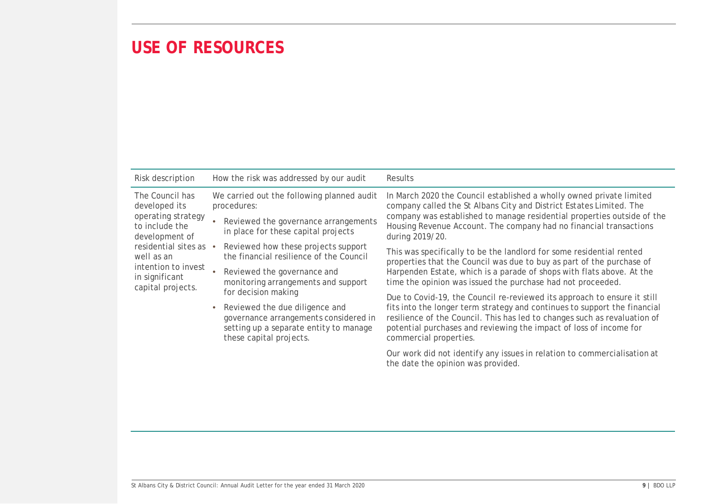### **USE OF RESOURCES**

| Risk description                                                                                                                                                                                 |                                                           | How the risk was addressed by our audit                                                                                                      | Results                                                                                                                                                                                                                                                |
|--------------------------------------------------------------------------------------------------------------------------------------------------------------------------------------------------|-----------------------------------------------------------|----------------------------------------------------------------------------------------------------------------------------------------------|--------------------------------------------------------------------------------------------------------------------------------------------------------------------------------------------------------------------------------------------------------|
| The Council has<br>developed its<br>operating strategy<br>to include the<br>development of<br>residential sites as •<br>well as an<br>intention to invest<br>in significant<br>capital projects. | We carried out the following planned audit<br>procedures: |                                                                                                                                              | In March 2020 the Council established a wholly owned private limited<br>company called the St Albans City and District Estates Limited. The                                                                                                            |
|                                                                                                                                                                                                  |                                                           | Reviewed the governance arrangements<br>in place for these capital projects                                                                  | company was established to manage residential properties outside of the<br>Housing Revenue Account. The company had no financial transactions<br>during 2019/20.                                                                                       |
|                                                                                                                                                                                                  |                                                           | Reviewed how these projects support<br>the financial resilience of the Council                                                               | This was specifically to be the landlord for some residential rented<br>properties that the Council was due to buy as part of the purchase of                                                                                                          |
|                                                                                                                                                                                                  |                                                           | Reviewed the governance and<br>monitoring arrangements and support                                                                           | Harpenden Estate, which is a parade of shops with flats above. At the<br>time the opinion was issued the purchase had not proceeded.                                                                                                                   |
|                                                                                                                                                                                                  |                                                           | for decision making                                                                                                                          | Due to Covid-19, the Council re-reviewed its approach to ensure it still                                                                                                                                                                               |
|                                                                                                                                                                                                  | $\bullet$                                                 | Reviewed the due diligence and<br>governance arrangements considered in<br>setting up a separate entity to manage<br>these capital projects. | fits into the longer term strategy and continues to support the financial<br>resilience of the Council. This has led to changes such as revaluation of<br>potential purchases and reviewing the impact of loss of income for<br>commercial properties. |
|                                                                                                                                                                                                  |                                                           |                                                                                                                                              | Our work did not identify any issues in relation to commercialisation at<br>the date the opinion was provided.                                                                                                                                         |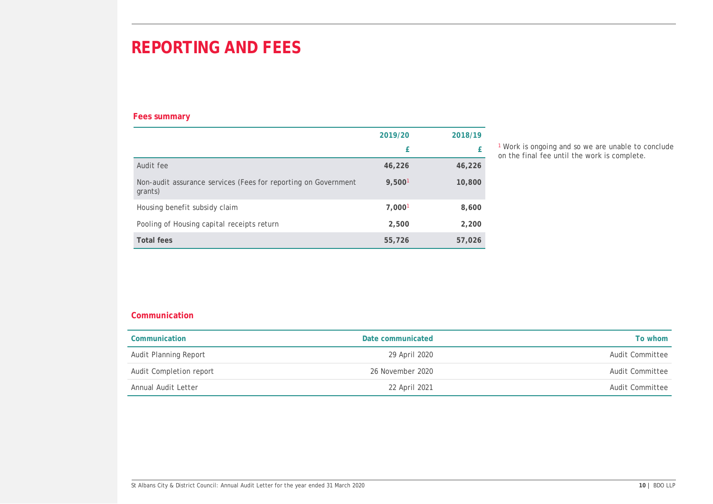## **REPORTING AND FEES**

### **Fees summary**

|                                                                           | 2019/20 | 2018/19 |
|---------------------------------------------------------------------------|---------|---------|
|                                                                           | £       |         |
| Audit fee                                                                 | 46,226  | 46,226  |
| Non-audit assurance services (Fees for reporting on Government<br>grants) | 9,5001  | 10,800  |
| Housing benefit subsidy claim                                             | 7,0001  | 8,600   |
| Pooling of Housing capital receipts return                                | 2,500   | 2,200   |
| Total fees                                                                | 55,726  | 57,026  |

<sup>1</sup> Work is ongoing and so we are unable to conclude on the final fee until the work is complete.

### **Communication**

| Communication           | Date communicated | To whom         |
|-------------------------|-------------------|-----------------|
| Audit Planning Report   | 29 April 2020     | Audit Committee |
| Audit Completion report | 26 November 2020  | Audit Committee |
| Annual Audit Letter     | 22 April 2021     | Audit Committee |